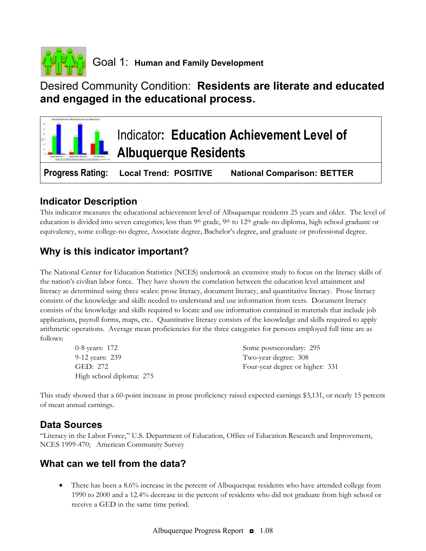

# Desired Community Condition: **Residents are literate and educated and engaged in the educational process.**



## **Indicator Description**

This indicator measures the educational achievement level of Albuquerque residents 25 years and older. The level of education is divided into seven categories; less than 9<sup>th</sup> grade, 9<sup>th</sup> to 12<sup>th</sup> grade-no diploma, high school graduate or equivalency, some college-no degree, Associate degree, Bachelor's degree, and graduate or professional degree.

## **Why is this indicator important?**

The National Center for Education Statistics (NCES) undertook an extensive study to focus on the literacy skills of the nation's civilian labor force. They have shown the correlation between the education level attainment and literacy as determined using three scales: prose literacy, document literacy, and quantitative literacy. Prose literacy consists of the knowledge and skills needed to understand and use information from texts. Document literacy consists of the knowledge and skills required to locate and use information contained in materials that include job applications, payroll forms, maps, etc.. Quantitative literacy consists of the knowledge and skills required to apply arithmetic operations. Average mean proficiencies for the three categories for persons employed full time are as follows:

| 0-8 years: 172           | Some postsecondary: 295         |
|--------------------------|---------------------------------|
| 9-12 years: 239          | Two-year degree: 308            |
| GED: 272                 | Four-year degree or higher: 331 |
| High school diploma: 275 |                                 |

This study showed that a 60-point increase in prose proficiency raised expected earnings \$3,131, or nearly 15 percent of mean annual earnings.

### **Data Sources**

"Literacy in the Labor Force," U.S. Department of Education, Office of Education Research and Improvement, NCES 1999-470; American Community Survey

### **What can we tell from the data?**

• There has been a 8.6% increase in the percent of Albuquerque residents who have attended college from 1990 to 2000 and a 12.4% decrease in the percent of residents who did not graduate from high school or receive a GED in the same time period.